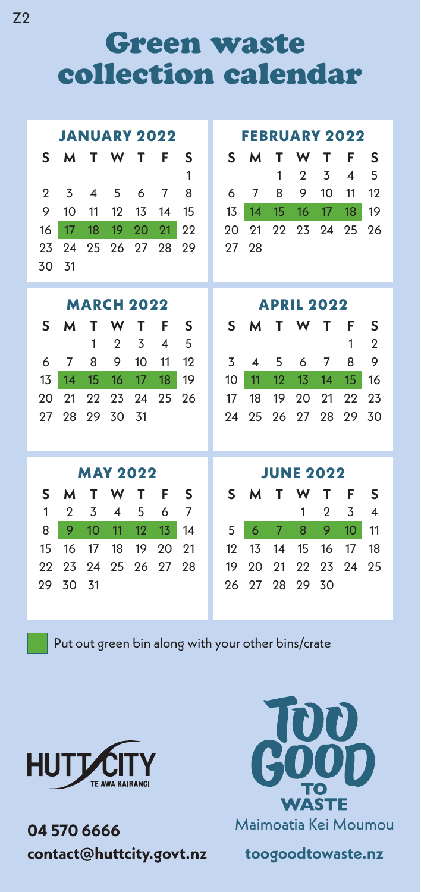Green waste collection calendar

| <b>JANUARY 2022</b> |                |                          |                         |                   |                          |    |  | <b>FEBRUARY 2022</b> |    |               |                |                |                        |                         |  |  |
|---------------------|----------------|--------------------------|-------------------------|-------------------|--------------------------|----|--|----------------------|----|---------------|----------------|----------------|------------------------|-------------------------|--|--|
| S                   | м              | т                        | W                       | т                 | F                        | S  |  | S                    | м  | т             | w              | т              | F                      | S                       |  |  |
|                     |                |                          |                         |                   |                          | 1  |  |                      |    | 1             | $\overline{2}$ | 3              | $\boldsymbol{\Lambda}$ | 5                       |  |  |
| $\mathbf{2}$        | 3              | $\overline{\mathcal{A}}$ | 5                       | 6                 | 7                        | 8  |  | 6                    | 7  | 8             | 9              | 10             | 11                     | 12                      |  |  |
| 9                   | 10             | 11                       | 12                      | 13                | 14                       | 15 |  | 13                   | 14 | 15            | 16             | 17             | 18                     | 19                      |  |  |
| 16                  | 17             | 18                       | 19                      | 20                | 21                       | 22 |  | 20                   | 21 | 22            | 23             | 24             | 25                     | 26                      |  |  |
| 23                  | 24             | 25                       | 26                      | 27                | 28                       | 29 |  | 27                   | 28 |               |                |                |                        |                         |  |  |
| 30                  | 31             |                          |                         |                   |                          |    |  |                      |    |               |                |                |                        |                         |  |  |
|                     |                |                          |                         |                   |                          |    |  |                      |    |               |                |                |                        |                         |  |  |
|                     |                |                          |                         | <b>MARCH 2022</b> |                          |    |  | <b>APRIL 2022</b>    |    |               |                |                |                        |                         |  |  |
| S                   | м              | т                        | W                       | т                 | F                        | S  |  | S                    | м  | т             | W              | т              | F                      | S                       |  |  |
|                     |                | 1                        | $\mathbf{2}$            | 3                 | $\overline{\mathcal{A}}$ | 5  |  |                      |    |               |                |                | 1                      | $\mathbf{2}$            |  |  |
| 6                   | 7              | 8                        | 9                       | 10                | 11                       | 12 |  | 3                    | 4  | 5             | 6              | 7              | 8                      | 9                       |  |  |
| 13                  | 14             | 15                       | 16                      | 17                | 18                       | 19 |  | 10                   | 11 | 12            | 13             | 14             | 15                     | 16                      |  |  |
| 20                  | 21             | 22                       | 23                      | 24                | 25                       | 26 |  | 17                   | 18 | 19            | 20             | 21             | 22                     | 23                      |  |  |
| 27                  | 28             | 29                       | 30                      | 31                |                          |    |  | 24                   | 25 | 26            | 27             | 28             | 29                     | 30                      |  |  |
|                     |                |                          |                         |                   |                          |    |  |                      |    |               |                |                |                        |                         |  |  |
|                     |                |                          |                         |                   |                          |    |  |                      |    |               |                |                |                        |                         |  |  |
|                     |                |                          |                         | <b>MAY 2022</b>   |                          |    |  | <b>JUNE 2022</b>     |    |               |                |                |                        |                         |  |  |
| S                   | м              | т                        | W                       | т                 | F                        | S  |  | S                    | м  | т             | w              | т              | F                      | S                       |  |  |
| $\mathbf{1}$        | $\overline{2}$ | 3                        | $\overline{\mathbf{4}}$ | 5                 | 6                        | 7  |  |                      |    |               | 1              | $\overline{2}$ | 3                      | $\overline{\mathbf{4}}$ |  |  |
| 8                   | 9              | 10                       | 11                      | 12                | 13                       | 14 |  | 5                    | 6  | $\mathcal{I}$ | 8              | 9              | 10                     | 11                      |  |  |
| 15                  | 16             | 17                       | 18                      | 19                | 20                       | 21 |  | 12                   | 13 | 14            | 15             | 16             | 17                     | 18                      |  |  |
| 22                  | 23             | 24                       | 25                      | 26                | 27                       | 28 |  | 19                   | 20 | 21            | 22             | 23             | 24                     | 25                      |  |  |
| 29                  | 30             | 31                       |                         |                   |                          |    |  | 26                   | 27 | 28            | 29             | 30             |                        |                         |  |  |
|                     |                |                          |                         |                   |                          |    |  |                      |    |               |                |                |                        |                         |  |  |

Put out green bin along with your other bins/crate



**04 570 6666**  contact@huttcity.govt.nz



**toogoodtowaste.nz**